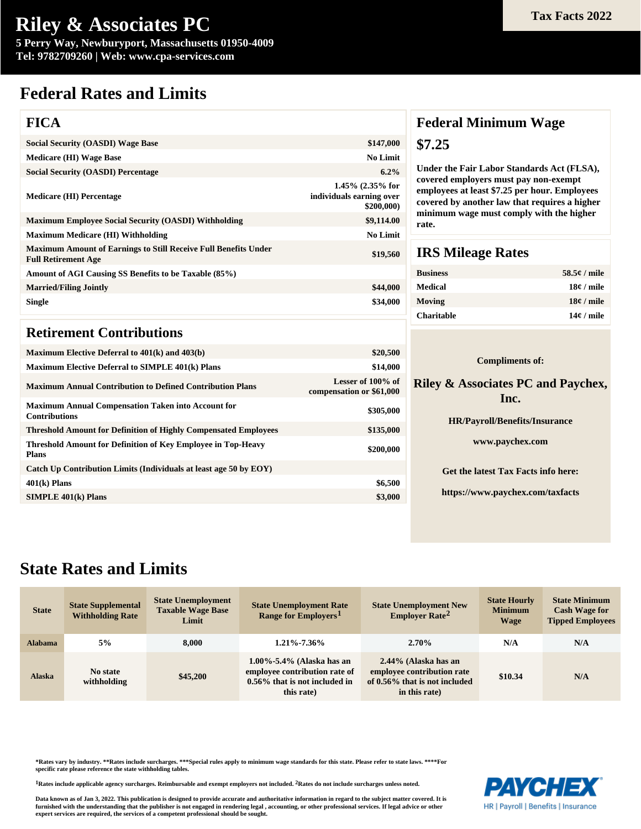**5 Perry Way, Newburyport, Massachusetts 01950-4009 Tel: 9782709260 | Web: www.cpa-services.com**

## **Federal Rates and Limits**

### **FICA**

| <b>Social Security (OASDI) Wage Base</b>                                                             | \$147,000                                                    |
|------------------------------------------------------------------------------------------------------|--------------------------------------------------------------|
| <b>Medicare (HI) Wage Base</b>                                                                       | <b>No Limit</b>                                              |
| <b>Social Security (OASDI) Percentage</b>                                                            | $6.2\%$                                                      |
| <b>Medicare (HI) Percentage</b>                                                                      | $1.45\%$ (2.35% for<br>individuals earning over<br>\$200,000 |
| <b>Maximum Employee Social Security (OASDI) Withholding</b>                                          | \$9,114.00                                                   |
| <b>Maximum Medicare (HI) Withholding</b>                                                             | <b>No Limit</b>                                              |
| <b>Maximum Amount of Earnings to Still Receive Full Benefits Under</b><br><b>Full Retirement Age</b> | \$19,560                                                     |
| Amount of AGI Causing SS Benefits to be Taxable (85%)                                                |                                                              |
| <b>Married/Filing Jointly</b>                                                                        | \$44,000                                                     |
| <b>Single</b>                                                                                        | \$34,000                                                     |
|                                                                                                      |                                                              |

### **Retirement Contributions**

| Maximum Elective Deferral to $401(k)$ and $403(b)$                                  | \$20,500                                      |
|-------------------------------------------------------------------------------------|-----------------------------------------------|
| <b>Maximum Elective Deferral to SIMPLE 401(k) Plans</b>                             | \$14,000                                      |
| <b>Maximum Annual Contribution to Defined Contribution Plans</b>                    | Lesser of 100% of<br>compensation or \$61,000 |
| <b>Maximum Annual Compensation Taken into Account for</b><br><b>Contributions</b>   | \$305,000                                     |
| <b>Threshold Amount for Definition of Highly Compensated Employees</b>              | \$135,000                                     |
| <b>Threshold Amount for Definition of Key Employee in Top-Heavy</b><br><b>Plans</b> | \$200,000                                     |
| Catch Up Contribution Limits (Individuals at least age 50 by EOY)                   |                                               |
| $401(k)$ Plans                                                                      | \$6,500                                       |
| $SIMPLE$ 401 $(k)$ Plans                                                            | \$3,000                                       |
|                                                                                     |                                               |

### **Federal Minimum Wage \$7.25**

**Under the Fair Labor Standards Act (FLSA), covered employers must pay non-exempt employees at least \$7.25 per hour. Employees covered by another law that requires a higher minimum wage must comply with the higher rate.**

### **IRS Mileage Rates**

| <b>Business</b>   | $58.5e /$ mile |
|-------------------|----------------|
| Medical           | $18¢$ / mile   |
| Moving            | $18¢$ / mile   |
| <b>Charitable</b> | $14¢$ / mile   |

#### **Compliments of:**

#### **Riley & Associates PC and Paychex, Inc.**

| <b>HR/Payroll/Benefits/Insurance</b> |
|--------------------------------------|
| www.paychex.com                      |
| Get the latest Tax Facts info here:  |
| https://www.paychex.com/taxfacts     |

## **State Rates and Limits**

| <b>State</b>   | <b>State Supplemental</b><br><b>Withholding Rate</b> | <b>State Unemployment</b><br><b>Taxable Wage Base</b><br>Limit | <b>State Unemployment Rate</b><br>Range for Employers <sup>1</sup>                                        | <b>State Unemployment New</b><br><b>Employer Rate<sup>2</sup></b>                                    | <b>State Hourly</b><br><b>Minimum</b><br><b>Wage</b> | <b>State Minimum</b><br><b>Cash Wage for</b><br><b>Tipped Employees</b> |
|----------------|------------------------------------------------------|----------------------------------------------------------------|-----------------------------------------------------------------------------------------------------------|------------------------------------------------------------------------------------------------------|------------------------------------------------------|-------------------------------------------------------------------------|
| <b>Alabama</b> | 5%                                                   | 8.000                                                          | $1.21\% - 7.36\%$                                                                                         | $2.70\%$                                                                                             | N/A                                                  | N/A                                                                     |
| <b>Alaska</b>  | No state<br>withholding                              | \$45,200                                                       | 1.00%-5.4% (Alaska has an<br>employee contribution rate of<br>0.56% that is not included in<br>this rate) | 2.44% (Alaska has an<br>employee contribution rate<br>of 0.56% that is not included<br>in this rate) | \$10.34                                              | N/A                                                                     |

**\*Rates vary by industry. \*\*Rates include surcharges. \*\*\*Special rules apply to minimum wage standards for this state. Please refer to state laws. \*\*\*\*For specific rate please reference the state withholding tables.**

**1Rates include applicable agency surcharges. Reimbursable and exempt employers not included. 2Rates do not include surcharges unless noted.**

**Data known as of Jan 3, 2022. This publication is designed to provide accurate and authoritative information in regard to the subject matter covered. It is furnished with the understanding that the publisher is not engaged in rendering legal , accounting, or other professional services. If legal advice or other expert services are required, the services of a competent professional should be sought.**



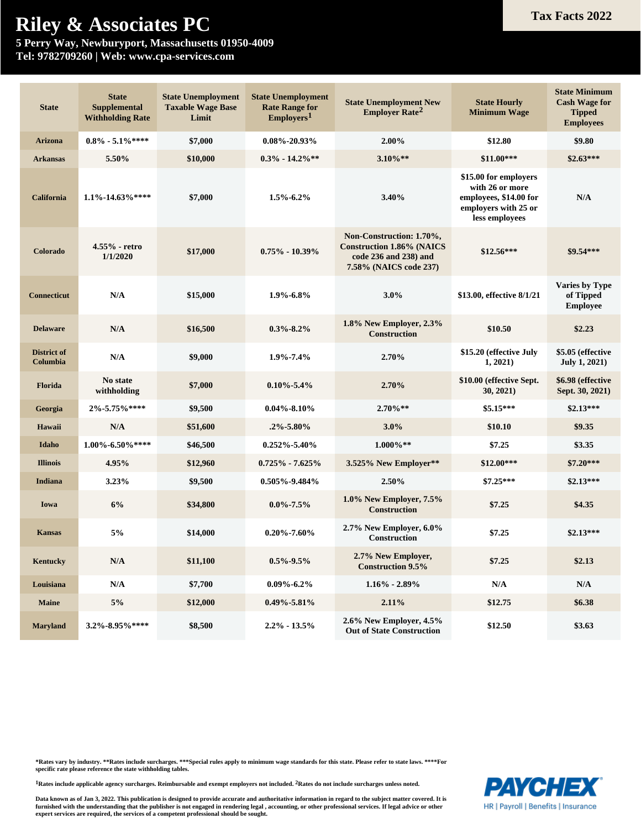**5 Perry Way, Newburyport, Massachusetts 01950-4009 Tel: 9782709260 | Web: www.cpa-services.com**

| <b>State</b>                   | <b>State</b><br><b>Supplemental</b><br><b>Withholding Rate</b> | <b>State Unemployment</b><br><b>Taxable Wage Base</b><br>Limit | <b>State Unemployment</b><br><b>Rate Range for</b><br>Emplovers <sup>1</sup> | <b>State Unemployment New</b><br><b>Employer Rate<sup>2</sup></b>                                               | <b>State Hourly</b><br><b>Minimum Wage</b>                                                                   | <b>State Minimum</b><br><b>Cash Wage for</b><br><b>Tipped</b><br><b>Employees</b> |
|--------------------------------|----------------------------------------------------------------|----------------------------------------------------------------|------------------------------------------------------------------------------|-----------------------------------------------------------------------------------------------------------------|--------------------------------------------------------------------------------------------------------------|-----------------------------------------------------------------------------------|
| <b>Arizona</b>                 | $0.8\%$ - 5.1%****                                             | \$7,000                                                        | $0.08\% - 20.93\%$                                                           | 2.00%                                                                                                           | \$12.80                                                                                                      | \$9.80                                                                            |
| <b>Arkansas</b>                | 5.50%                                                          | \$10,000                                                       | $0.3\% - 14.2\%$ **                                                          | $3.10\%$ **                                                                                                     | $$11.00***$                                                                                                  | $$2.63***$                                                                        |
| California                     | $1.1\% - 14.63\%$ ****                                         | \$7,000                                                        | $1.5\% - 6.2\%$                                                              | 3.40%                                                                                                           | \$15.00 for employers<br>with 26 or more<br>employees, \$14.00 for<br>employers with 25 or<br>less employees | N/A                                                                               |
| Colorado                       | 4.55% - retro<br>1/1/2020                                      | \$17,000                                                       | $0.75\% - 10.39\%$                                                           | Non-Construction: 1.70%,<br><b>Construction 1.86% (NAICS</b><br>code 236 and 238) and<br>7.58% (NAICS code 237) | $$12.56***$                                                                                                  | \$9.54***                                                                         |
| <b>Connecticut</b>             | N/A                                                            | \$15,000                                                       | $1.9\% - 6.8\%$                                                              | $3.0\%$                                                                                                         | \$13.00, effective 8/1/21                                                                                    | Varies by Type<br>of Tipped<br><b>Employee</b>                                    |
| <b>Delaware</b>                | N/A                                                            | \$16,500                                                       | $0.3\% - 8.2\%$                                                              | 1.8% New Employer, 2.3%<br><b>Construction</b>                                                                  | \$10.50                                                                                                      | \$2.23                                                                            |
| <b>District of</b><br>Columbia | N/A                                                            | \$9,000                                                        | $1.9\% - 7.4\%$                                                              | 2.70%                                                                                                           | \$15.20 (effective July<br>1,2021)                                                                           | \$5.05 (effective<br><b>July 1, 2021)</b>                                         |
| <b>Florida</b>                 | No state<br>withholding                                        | \$7,000                                                        | $0.10\% - 5.4\%$                                                             | 2.70%                                                                                                           | \$10.00 (effective Sept.<br>30, 2021)                                                                        | \$6.98 (effective<br>Sept. 30, 2021)                                              |
| Georgia                        | $2\% - 5.75\%$ ****                                            | \$9,500                                                        | $0.04\% - 8.10\%$                                                            | $2.70\%**$                                                                                                      | $$5.15***$                                                                                                   | $$2.13***$                                                                        |
| Hawaii                         | N/A                                                            | \$51,600                                                       | $.2\%$ -5.80%                                                                | $3.0\%$                                                                                                         | \$10.10                                                                                                      | \$9.35                                                                            |
| Idaho                          | $1.00\%$ -6.50%****                                            | \$46,500                                                       | $0.252\% - 5.40\%$                                                           | $1.000\%$ **                                                                                                    | \$7.25                                                                                                       | \$3.35                                                                            |
| <b>Illinois</b>                | 4.95%                                                          | \$12,960                                                       | $0.725\% - 7.625\%$                                                          | 3.525% New Employer**                                                                                           | $$12.00***$                                                                                                  | $$7.20***$                                                                        |
| Indiana                        | 3.23%                                                          | \$9,500                                                        | $0.505\% - 9.484\%$                                                          | 2.50%                                                                                                           | $$7.25***$                                                                                                   | $$2.13***$                                                                        |
| Iowa                           | 6%                                                             | \$34,800                                                       | $0.0\% - 7.5\%$                                                              | 1.0% New Employer, 7.5%<br><b>Construction</b>                                                                  | \$7.25                                                                                                       | \$4.35                                                                            |
| <b>Kansas</b>                  | 5%                                                             | \$14,000                                                       | $0.20\% - 7.60\%$                                                            | 2.7% New Employer, 6.0%<br>Construction                                                                         | \$7.25                                                                                                       | $$2.13***$                                                                        |
| Kentucky                       | N/A                                                            | \$11,100                                                       | $0.5\% - 9.5\%$                                                              | 2.7% New Employer,<br><b>Construction 9.5%</b>                                                                  | \$7.25                                                                                                       | \$2.13                                                                            |
| Louisiana                      | $\mathbf{N}/\mathbf{A}$                                        | \$7,700                                                        | $0.09\% - 6.2\%$                                                             | $1.16\% - 2.89\%$                                                                                               | $\mathbf{N}/\mathbf{A}$                                                                                      | $\mathbf{N}/\mathbf{A}$                                                           |
| <b>Maine</b>                   | $5\%$                                                          | \$12,000                                                       | $0.49\% - 5.81\%$                                                            | 2.11%                                                                                                           | \$12.75                                                                                                      | \$6.38                                                                            |
| <b>Maryland</b>                | 3.2%-8.95%****                                                 | \$8,500                                                        | $2.2\% - 13.5\%$                                                             | 2.6% New Employer, 4.5%<br><b>Out of State Construction</b>                                                     | \$12.50                                                                                                      | \$3.63                                                                            |

**\*Rates vary by industry. \*\*Rates include surcharges. \*\*\*Special rules apply to minimum wage standards for this state. Please refer to state laws. \*\*\*\*For specific rate please reference the state withholding tables.**

**1Rates include applicable agency surcharges. Reimbursable and exempt employers not included. 2Rates do not include surcharges unless noted.**

Data known as of Jan 3, 2022. This publication is designed to provide accurate and authoritative information in regard to the subject matter covered. It is<br>furnished with the understanding that the publisher is not engaged **expert services are required, the services of a competent professional should be sought.**

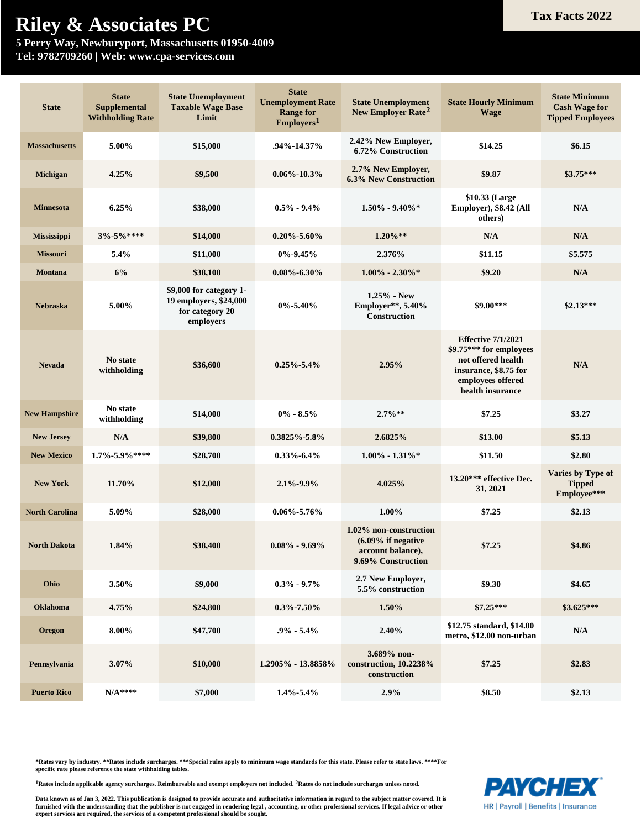**5 Perry Way, Newburyport, Massachusetts 01950-4009 Tel: 9782709260 | Web: www.cpa-services.com**

| <b>State</b>          | <b>State</b><br><b>Supplemental</b><br><b>Withholding Rate</b> | <b>State Unemployment</b><br><b>Taxable Wage Base</b><br>Limit                    | <b>State</b><br><b>Unemployment Rate</b><br><b>Range for</b><br>Emplovers <sup>1</sup> | <b>State Unemployment</b><br><b>State Hourly Minimum</b><br>New Employer Rate <sup>2</sup><br><b>Wage</b> |                                                                                                                                              | <b>State Minimum</b><br><b>Cash Wage for</b><br><b>Tipped Employees</b> |
|-----------------------|----------------------------------------------------------------|-----------------------------------------------------------------------------------|----------------------------------------------------------------------------------------|-----------------------------------------------------------------------------------------------------------|----------------------------------------------------------------------------------------------------------------------------------------------|-------------------------------------------------------------------------|
| <b>Massachusetts</b>  | 5.00%                                                          | \$15,000                                                                          | .94%-14.37%                                                                            | 2.42% New Employer,<br>6.72% Construction                                                                 | \$14.25                                                                                                                                      | \$6.15                                                                  |
| <b>Michigan</b>       | 4.25%                                                          | \$9,500                                                                           | $0.06\% - 10.3\%$                                                                      | 2.7% New Employer,<br><b>6.3% New Construction</b>                                                        | \$9.87                                                                                                                                       | $$3.75***$                                                              |
| <b>Minnesota</b>      | 6.25%                                                          | \$38,000                                                                          | $0.5\% - 9.4\%$                                                                        | $1.50\%$ - 9.40%*                                                                                         | \$10.33 (Large<br>Employer), \$8.42 (All<br>others)                                                                                          | N/A                                                                     |
| <b>Mississippi</b>    | $3\% - 5\%$ ****                                               | \$14,000                                                                          | $0.20\% - 5.60\%$                                                                      | $1.20\%**$                                                                                                | N/A                                                                                                                                          | N/A                                                                     |
| <b>Missouri</b>       | 5.4%                                                           | \$11,000                                                                          | $0\% - 9.45\%$                                                                         | 2.376%                                                                                                    | \$11.15                                                                                                                                      | \$5.575                                                                 |
| <b>Montana</b>        | 6%                                                             | \$38,100                                                                          | $0.08\% - 6.30\%$                                                                      | $1.00\% - 2.30\% *$                                                                                       | \$9.20                                                                                                                                       | N/A                                                                     |
| <b>Nebraska</b>       | 5.00%                                                          | \$9,000 for category 1-<br>19 employers, \$24,000<br>for category 20<br>employers | $0\% - 5.40\%$                                                                         | $1.25\%$ - New<br>Employer**, 5.40%<br><b>Construction</b>                                                | $$9.00***$                                                                                                                                   | $$2.13***$                                                              |
| <b>Nevada</b>         | No state<br>withholding                                        | \$36,600                                                                          | $0.25\% - 5.4\%$                                                                       | 2.95%                                                                                                     | <b>Effective 7/1/2021</b><br>\$9.75*** for employees<br>not offered health<br>insurance, \$8.75 for<br>employees offered<br>health insurance | N/A                                                                     |
| <b>New Hampshire</b>  | No state<br>withholding                                        | \$14,000                                                                          | $0\% - 8.5\%$                                                                          | $2.7\%**$                                                                                                 | \$7.25                                                                                                                                       | \$3.27                                                                  |
| <b>New Jersey</b>     | N/A                                                            | \$39,800                                                                          | $0.3825\% - 5.8\%$                                                                     | 2.6825%                                                                                                   | \$13.00                                                                                                                                      | \$5.13                                                                  |
| <b>New Mexico</b>     | 1.7%-5.9%****                                                  | \$28,700                                                                          | $0.33\% - 6.4\%$                                                                       | $1.00\% - 1.31\%$                                                                                         | \$11.50                                                                                                                                      | \$2.80                                                                  |
| <b>New York</b>       | 11.70%                                                         | \$12,000                                                                          | $2.1\% - 9.9\%$                                                                        | 4.025%                                                                                                    | 13.20*** effective Dec.<br>31, 2021                                                                                                          | Varies by Type of<br><b>Tipped</b><br>Employee***                       |
| <b>North Carolina</b> | 5.09%                                                          | \$28,000                                                                          | $0.06\% - 5.76\%$                                                                      | 1.00%                                                                                                     | \$7.25                                                                                                                                       | \$2.13                                                                  |
| <b>North Dakota</b>   | 1.84%                                                          | \$38,400                                                                          | $0.08\% - 9.69\%$                                                                      | 1.02% non-construction<br>$(6.09\%$ if negative<br>account balance),<br>9.69% Construction                | \$7.25                                                                                                                                       | \$4.86                                                                  |
| Ohio                  | 3.50%                                                          | \$9,000                                                                           | $0.3\% - 9.7\%$                                                                        | 2.7 New Employer,<br>5.5% construction                                                                    | \$9.30                                                                                                                                       | \$4.65                                                                  |
| Oklahoma              | 4.75%                                                          | \$24,800                                                                          | $0.3\% - 7.50\%$                                                                       | 1.50%                                                                                                     | $$7.25***$                                                                                                                                   | \$3.625***                                                              |
| Oregon                | $8.00\%$                                                       | \$47,700                                                                          | $.9\% - 5.4\%$                                                                         | 2.40%                                                                                                     | \$12.75 standard, \$14.00<br>metro, \$12.00 non-urban                                                                                        | N/A                                                                     |
| Pennsylvania          | 3.07%                                                          | \$10,000                                                                          | 1.2905% - 13.8858%                                                                     | 3.689% non-<br>construction, 10.2238%<br>construction                                                     | \$7.25                                                                                                                                       | \$2.83                                                                  |
| <b>Puerto Rico</b>    | $N/A***$                                                       | \$7,000                                                                           | $1.4\% - 5.4\%$                                                                        | 2.9%                                                                                                      | \$8.50                                                                                                                                       | \$2.13                                                                  |

\*Rates vary by industry. \*\*Rates include surcharges. \*\*\*Special rules apply to minimum wage standards for this state. Please refer to state laws. \*\*\*\*For<br>specific rate please reference the state withholding tables.

**1Rates include applicable agency surcharges. Reimbursable and exempt employers not included. 2Rates do not include surcharges unless noted.**

Data known as of Jan 3, 2022. This publication is designed to provide accurate and authoritative information in regard to the subject matter covered. It is<br>furnished with the understanding that the publisher is not engaged **expert services are required, the services of a competent professional should be sought.**



HR | Payroll | Benefits | Insurance